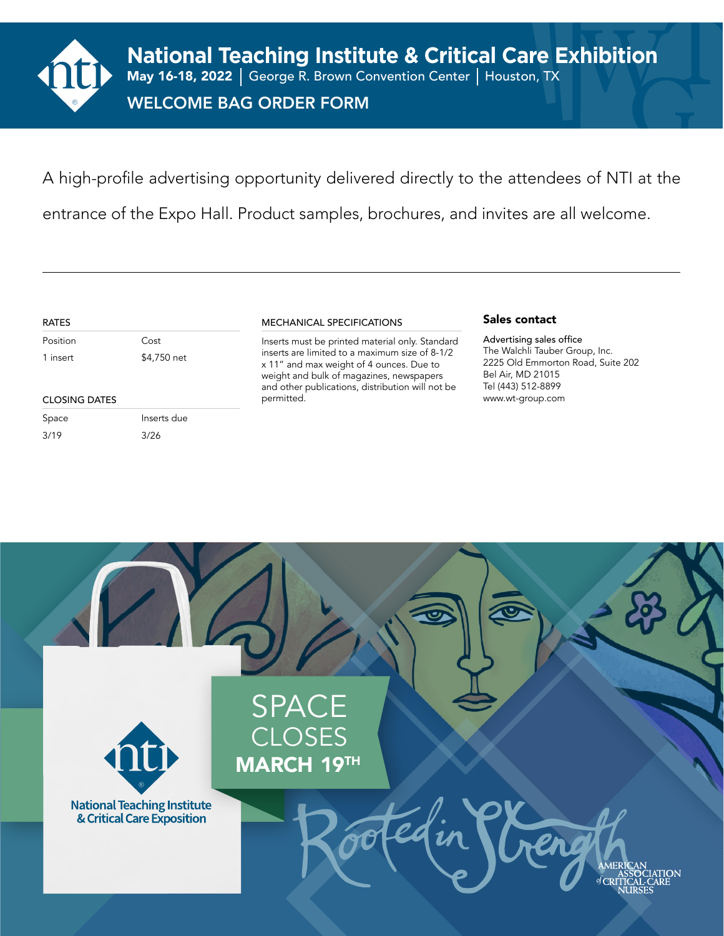

A high-profile advertising opportunity delivered directly to the attendees of NTI at the entrance of the Expo Hall. Product samples, brochures, and invites are all welcome.

#### RATES

Position Cost 1 insert \$4,750 net

#### MECHANICAL SPECIFICATIONS

CLOSING DATES www.wt-group.com Inserts must be printed material only. Standard inserts are limited to a maximum size of 8-1/2 x 11" and max weight of 4 ounces. Due to weight and bulk of magazines, newspapers and other publications, distribution will not be permitted.

#### Sales contact

Advertising sales office The Walchli Tauber Group, Inc. 2225 Old Emmorton Road, Suite 202 Bel Air, MD 21015 Tel (443) 512-8899

Space Inserts due 3/19 3/26

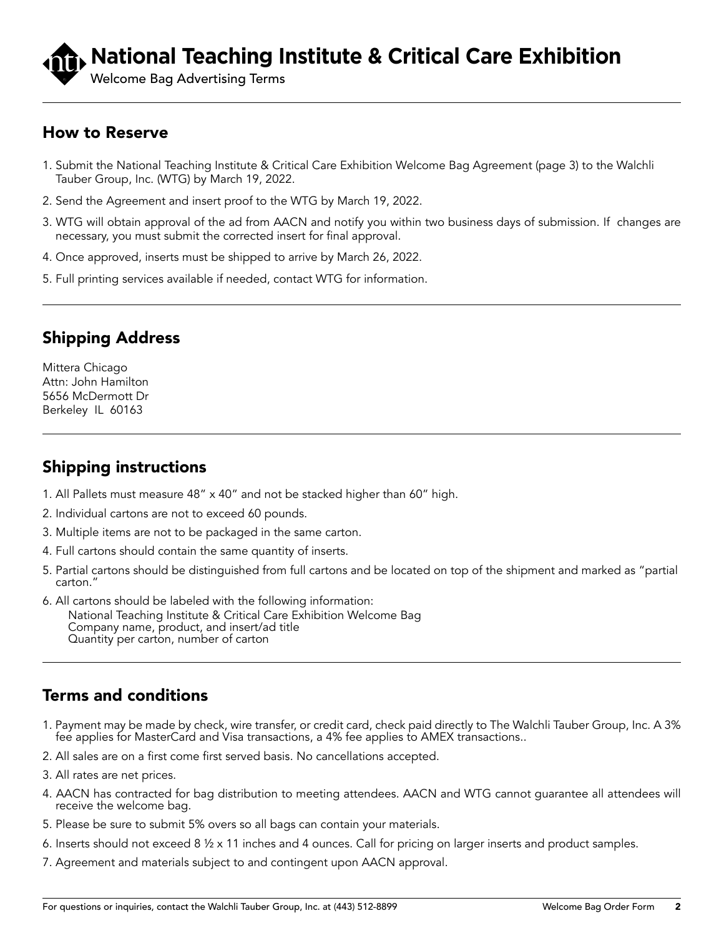# **National Teaching Institute & Critical Care Exhibition**

Welcome Bag Advertising Terms

#### How to Reserve

- 1. Submit the National Teaching Institute & Critical Care Exhibition Welcome Bag Agreement (page 3) to the Walchli Tauber Group, Inc. (WTG) by March 19, 2022.
- 2. Send the Agreement and insert proof to the WTG by March 19, 2022.
- 3. WTG will obtain approval of the ad from AACN and notify you within two business days of submission. If changes are necessary, you must submit the corrected insert for final approval.
- 4. Once approved, inserts must be shipped to arrive by March 26, 2022.
- 5. Full printing services available if needed, contact WTG for information.

## Shipping Address

Mittera Chicago Attn: John Hamilton 5656 McDermott Dr Berkeley IL 60163

## Shipping instructions

- 1. All Pallets must measure 48" x 40" and not be stacked higher than 60" high.
- 2. Individual cartons are not to exceed 60 pounds.
- 3. Multiple items are not to be packaged in the same carton.
- 4. Full cartons should contain the same quantity of inserts.
- 5. Partial cartons should be distinguished from full cartons and be located on top of the shipment and marked as "partial carton."
- 6. All cartons should be labeled with the following information: National Teaching Institute & Critical Care Exhibition Welcome Bag Company name, product, and insert/ad title Quantity per carton, number of carton

## Terms and conditions

- 1. Payment may be made by check, wire transfer, or credit card, check paid directly to The Walchli Tauber Group, Inc. A 3% fee applies for MasterCard and Visa transactions, a 4% fee applies to AMEX transactions..
- 2. All sales are on a first come first served basis. No cancellations accepted.
- 3. All rates are net prices.
- 4. AACN has contracted for bag distribution to meeting attendees. AACN and WTG cannot guarantee all attendees will receive the welcome bag.
- 5. Please be sure to submit 5% overs so all bags can contain your materials.
- 6. Inserts should not exceed 8 ½ x 11 inches and 4 ounces. Call for pricing on larger inserts and product samples.
- 7. Agreement and materials subject to and contingent upon AACN approval.